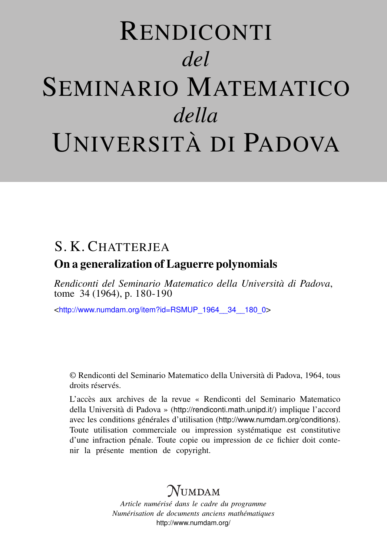# RENDICONTI *del* SEMINARIO MATEMATICO *della* UNIVERSITÀ DI PADOVA

## S. K. CHATTERIEA

### On a generalization of Laguerre polynomials

*Rendiconti del Seminario Matematico della Università di Padova*, tome 34 (1964), p. 180-190

<[http://www.numdam.org/item?id=RSMUP\\_1964\\_\\_34\\_\\_180\\_0](http://www.numdam.org/item?id=RSMUP_1964__34__180_0)>

© Rendiconti del Seminario Matematico della Università di Padova, 1964, tous droits réservés.

L'accès aux archives de la revue « Rendiconti del Seminario Matematico della Università di Padova » (<http://rendiconti.math.unipd.it/>) implique l'accord avec les conditions générales d'utilisation (<http://www.numdam.org/conditions>). Toute utilisation commerciale ou impression systématique est constitutive d'une infraction pénale. Toute copie ou impression de ce fichier doit contenir la présente mention de copyright.

## $\mathcal{N}$ umdam

*Article numérisé dans le cadre du programme Numérisation de documents anciens mathématiques* <http://www.numdam.org/>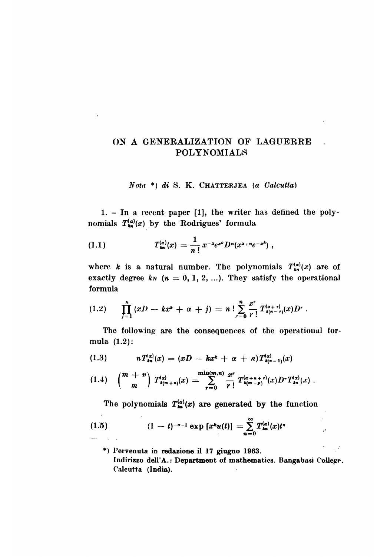#### ON A GENERALIZATION OF LAGUERRE POLYNOMIALS

#### \*) di S. K. CHATTERJEA (a Calcutta)

1. - In a recent paper [1], the writer has defined the polynomials  $T_{k_n}^{(\alpha)}(x)$  by the Rodrigues' formula

(1.1) 
$$
T_{\mathbf{m}}^{(\alpha)}(x) = \frac{1}{n!} x^{-x} e^{x^k} D^n(x^{x+n}e^{-x^k}),
$$

where k is a natural number. The polynomials  $T_{kn}^{(\alpha)}(x)$  are of exactly degree kn  $(n = 0, 1, 2, ...)$ . They satisfy the operational formula

$$
(1.2) \qquad \prod_{j=1}^n (xD - kx^k + \alpha + j) = n \; ! \sum_{r=0}^n \frac{x^r}{r!} T^{(\alpha+r)}_{k(n-r)}(x) D^r \; .
$$

The following are the consequences of the operational forrnula (1.2):

$$
(1.3) \t nT_{\mathbf{k}\mathbf{n}}^{(\alpha)}(x) = (xD - kx^{\mathbf{k}} + \alpha + n)T_{\mathbf{k}(\mathbf{n}-1)}^{(\alpha)}(x)
$$

$$
(1.4) \quad \binom{m+n}{m} T_{k(m+n)}^{(\alpha)}(x) = \sum_{r=0}^{\min(m,n)} \frac{x^r}{r!} T_{k(m-p)}^{(\alpha+n+r)}(x) D^r T_{kn}^{(\alpha)}(x) \ .
$$

The polynomials  $T_{kn}^{(\alpha)}(x)$  are generated by the function

(1.5) 
$$
(1-t)^{-\alpha-1} \exp \left\{ x^{\mathbf{k}} u(t) \right\} = \sum_{n=0}^{\infty} T_{\mathbf{k}n}^{(\alpha)}(x) t^n
$$

\*) Pervenuta in redazione il 17 giugno 1963. Indirizzo dell'A.: Department of mathematics. Bangabasi College, Calcutta (India).

 $\mathcal{D}$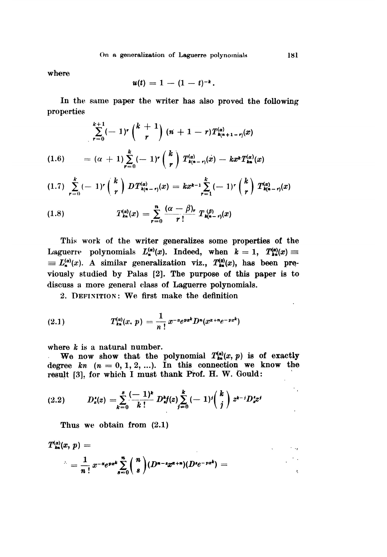where

$$
u(t) = 1 - (1 - t)^{-k}.
$$

In the same paper the writer has also proved the following properties

$$
\sum_{r=0}^{k+1} (-1)^r \binom{k+1}{r} (n+1-r) T_{k(n+1-r)}^{(\alpha)}(x)
$$
\n
$$
= (\alpha+1) \sum_{r=0}^k (-1)^r \binom{k}{r} T_{k(n-r)}^{(\alpha)}(x) - k x^k T_{kn}^{(\alpha)}(x)
$$

$$
(1.7) \sum_{r=0}^{k} (-1)^{r} {k \choose r} DT_{k(n-r)}^{(\alpha)}(x) = kx^{k-1} \sum_{r=1}^{k} (-1)^{r} {k \choose r} T_{k(n-r)}^{(\alpha)}(x)
$$

(1.8) 
$$
T_{kn}^{(\alpha)}(x) = \sum_{r=0}^{n} \frac{(\alpha - \beta)_r}{r!} T_{n(n-r)}^{(\beta)}(x)
$$

This work of the writer generalizes some properties of the Laguerre polynomials  $L_{\bullet}^{(\alpha)}(x)$ . Indeed, when  $k = 1$ ,  $T_{\bullet}^{(\alpha)}(x) \equiv$  $\equiv L_{\bullet}^{(\alpha)}(x)$ . A similar generalization viz.,  $T_{\bullet}^{(0)}(x)$ , has been previously studied by Palas [2]. The purpose of this paper is to discuss a more general class of Laguerre polynomials.

2. DEFINITION: We first make the definition

(2.1) 
$$
T_{kn}^{(\alpha)}(x, p) = \frac{1}{n!} x^{-\alpha} e^{px^k} D^n(x^{\alpha+n}e^{-px^k})
$$

where  $k$  is a natural number.

We now show that the polynomial  $T_{\bullet\bullet}^{(\alpha)}(x,\,p)$  is of exactly degree  $kn$   $(n = 0, 1, 2, ...)$ . In this connection we know the result [3], for which I must thank Prof. H. W. Gould:

(2.2) 
$$
D_z^{\prime}(z) = \sum_{k=0}^s \frac{(-1)^k}{k!} D_z^{\prime}(z) \sum_{j=0}^k (-1)^j {k \choose j} z^{k-j} D_z^{\prime} z^j
$$

Thus we obtain from (2.1)

 $\sim$ 

$$
T_{\scriptscriptstyle{k}}^{(\alpha)}(x, p) =
$$
  
= 
$$
\frac{1}{n!} x^{-\alpha} e^{px^k} \sum_{s=0}^n {n \choose s} (D^{n-s} x^{\alpha+s}) (D^s e^{-px^k}) =
$$

 $\ddot{\phantom{a}}$ 

 $\sim$  100  $\mu$ 

 $\Lambda$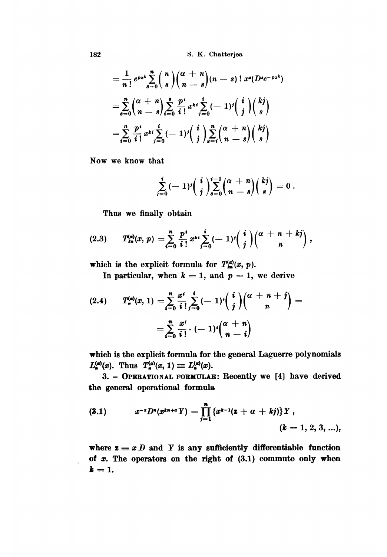$$
= \frac{1}{n!} e^{px^k} \sum_{s=0}^n {n \choose s} {\alpha + n \choose n - s} (n - s)! x^s (D^s e^{-px^k})
$$
  

$$
= \sum_{s=0}^n {\alpha + n \choose n - s} \sum_{i=0}^s \frac{p^i}{i!} x^{ki} \sum_{j=0}^i (-1)^j {\binom{i}{j}} {\binom{kj}{s}}
$$
  

$$
= \sum_{i=0}^n \frac{p^i}{i!} x^{ki} \sum_{j=0}^i (-1)^j {\binom{i}{j}} \sum_{s=i}^n {\alpha + n \choose n - s} {\binom{kj}{s}}
$$

Now we know that

$$
\sum_{j=0}^i (-1)^j \binom{i}{j} \sum_{s=0}^{i-1} \binom{\alpha + n}{n-s} \binom{kj}{s} = 0.
$$

Thus we finally obtain

$$
(2.3) \tT_{kn}^{(\alpha)}(x, p) = \sum_{i=0}^{n} \frac{p^{i}}{i!} x^{ki} \sum_{j=0}^{i} (-1)^{j} \binom{i}{j} \binom{\alpha + n + kj}{n},
$$

which is the explicit formula for  $T_{k_n}^{(\alpha)}(x, p)$ .

In particular, when  $k = 1$ , and  $p = 1$ , we derive

$$
(2.4) \qquad T_n^{(\alpha)}(x,1) = \sum_{i=0}^n \frac{x^i}{i!} \sum_{j=0}^i (-1)^i \binom{i}{j} \binom{\alpha+n+j}{n} = \\ = \sum_{i=0}^n \frac{x^i}{i!} \cdot (-1)^i \binom{\alpha+n}{n-i}
$$

which is the explicit formula for the general Laguerre polynomials  $L_{\mathbf{a}}^{(\alpha)}(x)$ . Thus  $T_{\mathbf{a}}^{(\alpha)}(x, 1) \equiv L_{\mathbf{a}}^{(\alpha)}(x)$ .

3. - OPERATIONAL FORMULAE: Recently we [4] have derived the general operational formula

(3.1) 
$$
x^{-\alpha}D^{n}(x^{kn+\alpha}Y) = \prod_{j=1}^{n} \{x^{k-1}(z+\alpha+kj)\}Y, \quad (k = 1, 2, 3, ...),
$$

where  $z \equiv x D$  and Y is any sufficiently differentiable function of  $x$ . The operators on the right of  $(3.1)$  commute only when  $k = 1$ .

182

.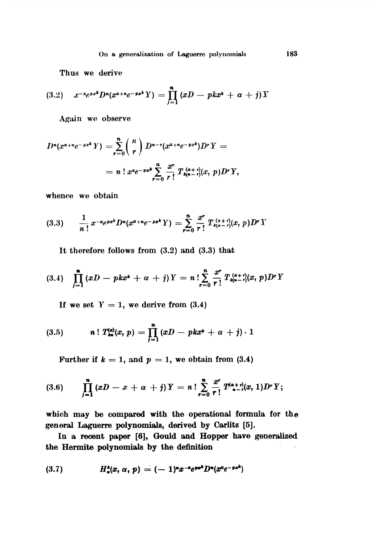Thus we derive

(3.2) 
$$
x^{-x}e^{px^k}D^{\mathbf{n}}(x^{x+n}e^{-px^k}Y) = \prod_{j=1}^n (xD - pkx^k + \alpha + j)Y
$$

Again we observe

$$
D^{n}(x^{\alpha+n}e^{-px^{k}}Y) = \sum_{r=0}^{n} {n \choose r} D^{n-r}(x^{\alpha+n}e^{-px^{k}})D^{r}Y =
$$
  
=  $n! x^{2}e^{-px^{k}} \sum_{r=0}^{n} \frac{x^{r}}{r!} T_{k(n-r)}^{(a+r)}(x, p)D^{r}Y,$ 

whence we obtain

$$
(3.3) \qquad \frac{1}{n!} \, x^{-\alpha} e^{px^k} D^n(x^{\alpha+n}e^{-px^k} Y) = \sum_{r=0}^n \frac{x^r}{r!} \, T_{\mathfrak{t}_{(n-r)}}^{(x+r)}(x, p) D^r Y
$$

It therefore follows from (3.2) and (3.3) that

$$
(3.4) \quad \prod_{j=1}^n (xD - pkx^2 + \alpha + j) Y = n \cdot \sum_{r=0}^n \frac{x^r}{r!} T_{k(n-r)}^{(a+r)}(x, p) D^r Y
$$

If we set  $Y = 1$ , we derive from (3.4)

(3.5) 
$$
n! T_{kn}^{(\alpha)}(x, p) = \prod_{j=1}^{n} (xD - pkx^{k} + \alpha + j) \cdot 1
$$

Further if  $k = 1$ , and  $p = 1$ , we obtain from (3.4)

(3.6) 
$$
\prod_{j=1}^{n} (xD - x + \alpha + j) Y = n! \sum_{r=0}^{n} \frac{x^{r}}{r!} T_{n-r}^{(\alpha+r)}(x, 1) D^{r} Y;
$$

which may be compared with the operational formula for the general Laguerre polynomials, derived by Carlitz [5].

In a recent paper [6], Gould and Hopper have generalized the Hermite polynomials by the definition

$$
(3.7) \tHn2(x, \alpha, p) = (-1)n x-a epek Dn(xa e-pxk)
$$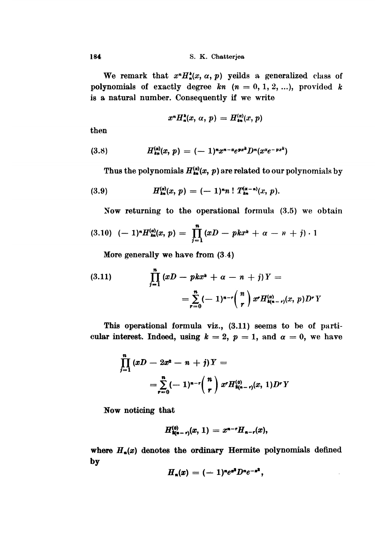We remark that  $x^n H^{\star}_n(x, \alpha, p)$  yeilds a generalized class of polynomials of exactly degree kn  $(n = 0, 1, 2, ...)$ , provided k is a natural number. Consequently if we write

$$
x^n H_n^k(x, \alpha, p) = H_n^{(\alpha)}(x, p)
$$

then

$$
(3.8) \tH_{\text{ks}}^{(\alpha)}(x, p) = (-1)^n x^{n-\alpha} e^{px^k} D^n(x^x e^{-px^k})
$$

Thus the polynomials  $H_{\bullet\bullet}^{(\alpha)}(x, p)$  are related to our polynomials by

(3.9) 
$$
H_{kn}^{(\alpha)}(x, p) = (-1)^n n! T_{kn}^{(\alpha - n)}(x, p).
$$

Now returning to the operational formula (3.5) we obtain

$$
(3.10) \ \ (-1)^n H_{\rm kn}^{(\alpha)}(x,\,p) = \prod_{j=1}^n (xD - pkx^k + \alpha - n + j) \cdot 1
$$

More generally we have from (3 .4 )

(3.11) 
$$
\prod_{j=1}^{n} (xD - pkx^{k} + \alpha - n + j)Y =
$$

$$
= \sum_{r=0}^{n} (-1)^{n-r} {n \choose r} x^{r} H_{k(n-r)}^{(x)}(x, p) D^{r}Y
$$

This operational formula viz., (3.11) seems to be of particular interest. Indeed, using  $k = 2$ ,  $p = 1$ , and  $\alpha = 0$ , we have

$$
\prod_{j=1}^{n} (xD - 2x^{2} - n + j)Y =
$$
\n
$$
= \sum_{r=0}^{n} (-1)^{n-r} {n \choose r} x^{r} H_{2(n-r)}^{(0)}(x, 1) D^{r}Y
$$

Now noticing that

$$
H^{(0)}_{2(n-r)}(x, 1) = x^{n-r}H_{n-r}(x),
$$

where  $H_n(x)$  denotes the ordinary Hermite polynomials defined by

$$
H_n(x)=(-1)^ne^{n^2}D^ne^{-n^2},
$$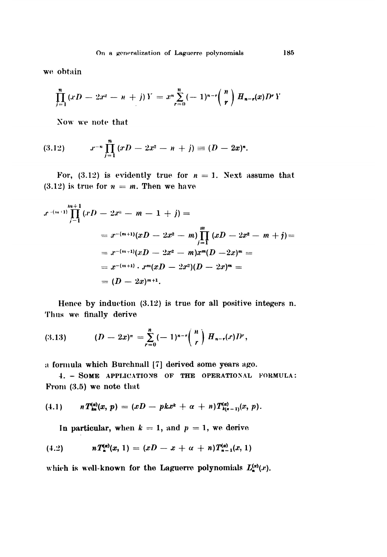we obtain

$$
\prod_{j=1}^n (xD - 2x^2 - n + j)Y = x^n \sum_{r=0}^n (-1)^{n-r} {n \choose r} H_{n-r}(x)D^rY
$$

Now we note that

$$
(3.12) \t x^{-n} \prod_{j=1}^{n} (xD - 2x^2 - n + j) \equiv (D - 2x)^{n}.
$$

For, (3.12) is evidently true for  $n = 1$ . Next assume that (3.12) is true for  $n = m$ . Then we have

$$
x^{-(m+1)}\prod_{j=1}^{m+1} (xD - 2x^2 - m - 1 + j) =
$$
  
=  $x^{-(m+1)}(xD - 2x^2 - m)\prod_{j=1}^{m} (xD - 2x^2 - m + j) =$   
=  $x^{-(m+1)}(xD - 2x^2 - m)x^m(D - 2x)^m =$   
=  $x^{-(m+1)} \cdot x^m(xD - 2x^2)(D - 2x)^m =$   
=  $(D - 2x)^{m+1}.$ 

Hence by induction  $(3.12)$  is true for all positive integers n. Thus we finally derive

$$
(3.13) \t\t (D-2x)^n = \sum_{r=0}^n (-1)^{n-r} {n \choose r} H_{n-r}(r) dr,
$$

a formula which Burchnall [7] derived some years ago.

4. - SOME APPLICATIONS OF THE OPERATIONAL FORMULA: From  $(3.5)$  we note that

$$
(4.1) \quad n \, T_{kn}^{(\alpha)}(x, p) = (xD - pkx^k + \alpha + n) T_{k(n-1)}^{(\alpha)}(x, p).
$$

In particular, when  $k = 1$ , and  $p = 1$ , we derive

$$
(4.2) \quad nT_{n}^{(\alpha)}(x,1)=(xD-x+\alpha+n)T_{n-1}^{(\alpha)}(x,1)
$$

which is well-known for the Laguerre polynomials  $L_{\mathbf{a}}^{(\alpha)}(x)$ .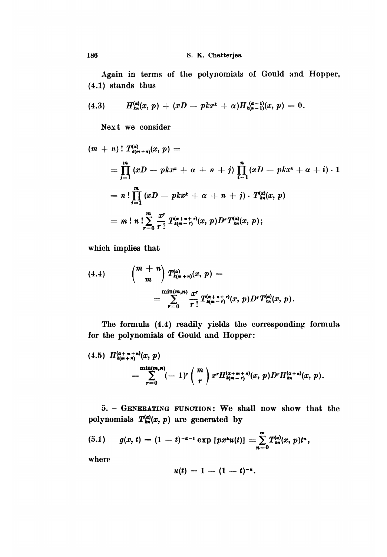Again in terms of the polynomials of Gould and Hopper, (4.1) stands thus

$$
(4.3) \tH_{kn}^{(\alpha)}(x, p) + (xD - pkx^{k} + \alpha)H_{kn-1}^{(\alpha-1)}(x, p) = 0.
$$

Next we consider

$$
(m + n)! T_{k(m+n)}^{(2)}(x, p) =
$$
  
=  $\prod_{j=1}^{m} (xD - pkx^{k} + \alpha + n + j) \prod_{i=1}^{n} (xD - pkx^{k} + \alpha + i) \cdot 1$   
=  $n! \prod_{j=1}^{m} (xD - pkx^{k} + \alpha + n + j) \cdot T_{kn}^{(2)}(x, p)$   
=  $m! n! \sum_{r=0}^{m} \frac{x^{r}}{r!} T_{k(m-r)}^{(\alpha+n+r)}(x, p) D^{r} T_{kn}^{(\alpha)}(x, p);$ 

which implies that

$$
(4.4) \qquad \binom{m+n}{m} T_{k(m+n)}^{(\alpha)}(x, p) =
$$
  
= 
$$
\sum_{r=0}^{\min(m,n)} \frac{x^r}{r!} T_{k(m-r)}^{(\alpha+n+r)}(x, p) D^r T_{kn}^{(\alpha)}(x, p).
$$

The formula (4.4) readily yields the corresponding formula for the polynomials of Gould and Hopper:

$$
(4.5) H_{k(m+n)}^{(\alpha+m+n)}(x, p)
$$
  
= 
$$
\sum_{r=0}^{\min(m,n)} (-1)^r \binom{m}{r} x^r H_{k(m-r)}^{(\alpha+m+n)}(x, p) D^r H_{kn}^{(\alpha+n)}(x, p).
$$

5. - GENERATING FUNCTION: We shall now show that the polynomials  $T_{\bullet\bullet}^{(a)}(x, p)$  are generated by

(5.1) 
$$
g(x, t) = (1 - t)^{-\alpha - 1} \exp [px^{\alpha}u(t)] = \sum_{n=0}^{\infty} T_{\alpha}^{(n)}(x, p)t^{n},
$$

where

$$
u(t) = 1 - (1 - t)^{-k}.
$$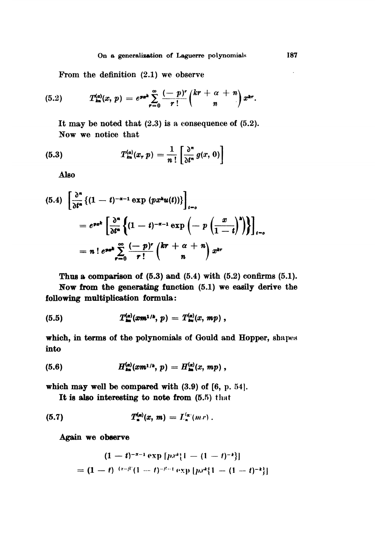#### On a generalization of Laguerre polynomials

From the definition  $(2.1)$  we observe

(5.2) 
$$
T_{\rm kn}^{(\alpha)}(x, p) = e^{\jmath\pi} \sum_{r=0}^{\infty} \frac{(-p)^r}{r!} {kr + \alpha + n \choose n} x^{\rm kr}.
$$

It may be noted that  $(2.3)$  is a consequence of  $(5.2)$ . Now we notice that

(5.3) 
$$
T_{\mathbf{m}}^{(\alpha)}(x, p) = \frac{1}{n!} \left[ \frac{\partial^n}{\partial t^n} g(x, 0) \right]
$$

Also

$$
(5.4) \left[\frac{\partial^{n}}{\partial t^{n}}\left\{(1-t)^{-\alpha-1}\exp{(px^{k}u(t))}\right\}\right]_{t=\rho}
$$

$$
=e^{px^{k}}\left[\frac{\partial^{n}}{\partial t^{n}}\left\{(1-t)^{-\alpha-1}\exp\left(-p\left(\frac{x}{1-t}\right)^{k}\right)\right\}\right]_{t=\rho}
$$

$$
=n!e^{px^{k}}\sum_{r=0}^{\infty}\frac{(-p)^{r}}{r!}\binom{kr+\alpha+n}{n}x^{kr}
$$

Thus a comparison of  $(5.3)$  and  $(5.4)$  with  $(5.2)$  confirms  $(5.1)$ .

Now from the generating function (5.1) we easily derive the following multiplication formula:

(5.5) 
$$
T_{lm}^{(\alpha)}(xm^{1/k}, p) = T_{lm}^{(\alpha)}(x, mp) ,
$$

which, in terms of the polynomials of Gould and Hopper, shapes into

(5.6) 
$$
H_{\text{an}}^{(\alpha)}(xm^{1/k}, p) = H_{\text{an}}^{(\alpha)}(x, mp) ,
$$

which may well be compared with  $(3.9)$  of  $[6, p. 54]$ .

It is also interesting to note from (5.5) that

$$
(5.7) \tT_n^{(a)}(x, m) = L_n^{(a)}(m \, r) \, .
$$

Again we observe

$$
(1-t)^{-x-1} \exp [px^x[1-(1-t)^{-k}]]
$$
  
=  $(1-t)^{-(x-\beta)}(1-t)^{-\beta-1} \exp [px^x[1-(1-t)^{-k}]]$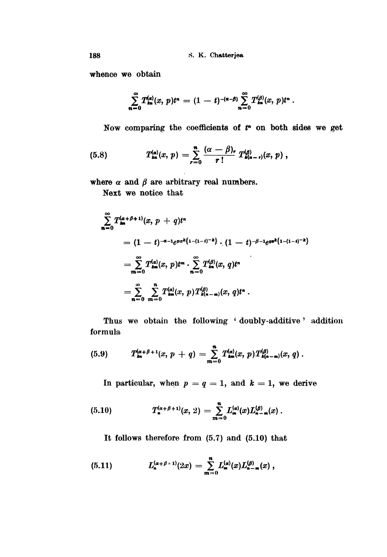whence we obtain

$$
\sum_{n=0}^{\infty} T_{\mathbf{m}}^{(a)}(x, p) t^n = (1-t)^{-(\alpha-\beta)} \sum_{n=0}^{\infty} T_{\mathbf{m}}^{(\beta)}(x, p) t^n.
$$

Now comparing the coefficients of  $t<sup>n</sup>$  on both sides we get

(5.8) 
$$
T_{\rm kn}^{(\alpha)}(x, p) = \sum_{r=0}^{n} \frac{(\alpha - \beta)_r}{r!} T_{\rm kn}^{(\beta)}(x, p),
$$

where  $\alpha$  and  $\beta$  are arbitrary real numbers.

Next we notice that

$$
\sum_{n=0}^{\infty} T_{\mathbf{m}}^{(\alpha+\beta+1)}(x, p + q)t^{n}
$$
\n
$$
= (1-t)^{-\alpha-1}e^{px^{k}\{1-(1-t)^{-k}\}} \cdot (1-t)^{-\beta-1}e^{qx^{k}\{1-(1-t)^{-k}\}}
$$
\n
$$
= \sum_{m=0}^{\infty} T_{\mathbf{m}}^{(\alpha)}(x, p)t^{m} \cdot \sum_{n=0}^{\infty} T_{\mathbf{m}}^{(\beta)}(x, q)t^{n}
$$
\n
$$
= \sum_{n=0}^{\infty} \sum_{m=0}^{n} T_{\mathbf{m}}^{(\alpha)}(x, p)T_{\mathbf{m}}^{(\beta)}(x, q)t^{n}.
$$

Thus we obtain the following 'doubly-additive' addition formula,

(5.9) 
$$
T_{\mathbf{m}}^{(\alpha+\beta+1)}(x, p + q) = \sum_{m=0}^{n} T_{\mathbf{m}}^{(\alpha)}(x, p) T_{\mathbf{m}}^{(\beta)}(x, q).
$$

In particular, when  $p = q = 1$ , and  $k = 1$ , we derive

(5.10) 
$$
T_{n}^{(\alpha+\beta+1)}(x, 2) = \sum_{m=0}^{n} L_{m}^{(\alpha)}(x) L_{n-m}^{(\beta)}(x).
$$

It follows therefore from (5.7) and (5.10) that

(5.11) 
$$
L_{n}^{(\alpha+\beta+1)}(2x) = \sum_{m=0}^{n} L_{m}^{(\alpha)}(x) L_{n-m}^{(\beta)}(x) ,
$$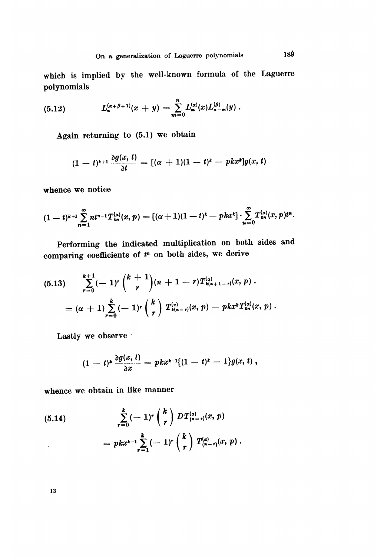which is implied by the well-known formula of the Laguerre polynomials

(5.12) 
$$
L_{n}^{(\alpha+\beta+1)}(x+y)=\sum_{m=0}^{n}L_{m}^{(\alpha)}(x)L_{n-m}^{(\beta)}(y).
$$

Again returning to (5.1) we obtain

$$
(1-t)^{k+1} \frac{\partial g(x, t)}{\partial t} = [(\alpha + 1)(1-t)^k - p k x^k] g(x, t)
$$

whence we notice

$$
(1-t)^{k+1}\sum_{n=1}^{\infty}nt^{n-1}T_{kn}^{(\alpha)}(x,p)=[(\alpha+1)(1-t)^{k}-pkx^{k}]\cdot\sum_{n=0}^{\infty}T_{kn}^{(\alpha)}(x,p)t^{n}.
$$

Performing the indicated multiplication on both sides and comparing coefficients of  $t<sup>n</sup>$  on both sides, we derive

$$
(5.13) \quad \sum_{r=0}^{k+1} (-1)^r {k+1 \choose r} (n+1-r) T_{k(n+1-r)}^{(a)}(x, p) .
$$

$$
= (\alpha+1) \sum_{r=0}^{k} (-1)^r {k \choose r} T_{k(n-r)}^{(a)}(x, p) - p k x^k T_{kn}^{(a)}(x, p) .
$$

Lastly we observe

$$
(1-t)^{k}\frac{\partial g(x,t)}{\partial x}=pkx^{k-1}\{(1-t)^{k}-1\}g(x,t),
$$

whence we obtain in like manner

(5.14) 
$$
\sum_{r=0}^{k} (-1)^{r} {k \choose r} DT_{(n-r)}^{(\alpha)}(x, p) = p k x^{k-1} \sum_{r=1}^{k} (-1)^{r} {k \choose r} T_{(n-r)}^{(\alpha)}(x, p).
$$